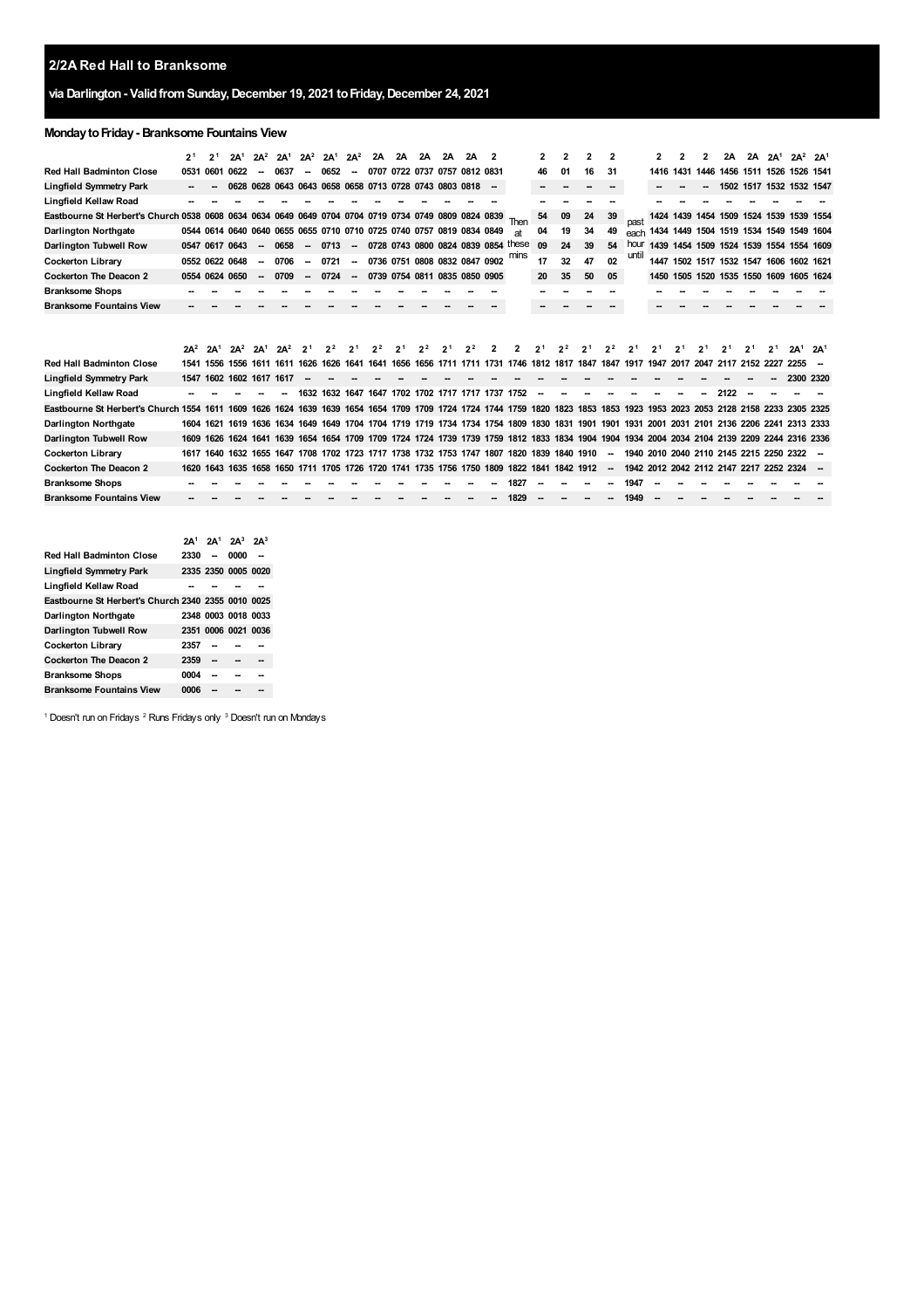## **2/2A Red Hall to Branksome**

## **via Darlington- ValidfromSunday,December 19, 2021 toFriday,December 24, 2021**

## **MondaytoFriday- Branksome Fountains View**

|                                                                                                                                                                                 | 21              | 2 <sup>1</sup>       | 2A <sup>1</sup> | $2A^2$                   | 2A <sup>1</sup> | $2A^2$                   | 2A <sup>1</sup>                                                                                                              | $2A^2$                   | 2A                            | 2A | 2A             | 2A | 2A             | 2                        |                                         | 2  | 2              | $\overline{2}$ | 2                        |       | 2         | 2    | 2A   | 2A | 2A <sup>1</sup> | $2A^2$ $2A^1$                                                                                                                          |                 |
|---------------------------------------------------------------------------------------------------------------------------------------------------------------------------------|-----------------|----------------------|-----------------|--------------------------|-----------------|--------------------------|------------------------------------------------------------------------------------------------------------------------------|--------------------------|-------------------------------|----|----------------|----|----------------|--------------------------|-----------------------------------------|----|----------------|----------------|--------------------------|-------|-----------|------|------|----|-----------------|----------------------------------------------------------------------------------------------------------------------------------------|-----------------|
| <b>Red Hall Badminton Close</b>                                                                                                                                                 | 0531            | 0601                 | 0622            | $\overline{\phantom{a}}$ | 0637            | $\overline{\phantom{a}}$ | 0652                                                                                                                         | $\overline{\phantom{a}}$ | 0707 0722 0737 0757 0812 0831 |    |                |    |                |                          |                                         | 46 | 01             | 16             | 31                       |       | 1416 1431 | 1446 |      |    |                 | 1456 1511 1526 1526 1541                                                                                                               |                 |
| Lingfield Symmetry Park                                                                                                                                                         |                 |                      | 0628            |                          |                 |                          | 0628 0643 0643 0658 0658 0713 0728 0743 0803 0818                                                                            |                          |                               |    |                |    |                | $\overline{\phantom{a}}$ |                                         |    |                |                |                          |       |           |      |      |    |                 | 1502 1517 1532 1532 1547                                                                                                               |                 |
| Lingfield Kellaw Road                                                                                                                                                           |                 |                      |                 |                          |                 |                          |                                                                                                                              |                          |                               |    |                |    |                |                          |                                         |    |                |                |                          |       |           |      |      |    |                 |                                                                                                                                        |                 |
| Eastbourne St Herbert's Church 0538 0608 0634 0634 0649 0649 0704 0704 0719 0734 0749 0809 0824 0839                                                                            |                 |                      |                 |                          |                 |                          |                                                                                                                              |                          |                               |    |                |    |                |                          | Then                                    | 54 | 09             | 24             | 39                       | past  | 1424      |      |      |    |                 | 1439 1454 1509 1524 1539 1539 1554                                                                                                     |                 |
| <b>Darlington Northgate</b>                                                                                                                                                     |                 |                      |                 |                          |                 |                          | 0544 0614 0640 0640 0655 0655 0710 0710 0725 0740 0757 0819 0834 0849                                                        |                          |                               |    |                |    |                |                          | аt                                      | 04 | 19             | 34             | 49                       |       |           |      |      |    |                 | each 1434 1449 1504 1519 1534 1549 1549 1604                                                                                           |                 |
| Darlington Tubwell Row                                                                                                                                                          |                 | 0547 0617 0643       |                 | $\sim$                   | 0658            |                          | $-0713$                                                                                                                      |                          |                               |    |                |    |                |                          | $-$ 0728 0743 0800 0824 0839 0854 these | 09 | 24             | 39             | 54                       | hour  |           |      |      |    |                 | 1439 1454 1509 1524 1539 1554 1554 1609                                                                                                |                 |
| <b>Cockerton Library</b>                                                                                                                                                        |                 | 0552 0622 0648       |                 | $\sim$                   | 0706            | $\sim$                   | 0721                                                                                                                         | $\overline{\phantom{a}}$ | 0736 0751 0808 0832 0847 0902 |    |                |    |                |                          | mins                                    | 17 | 32             | 47             | 02                       | until |           |      |      |    |                 | 1447 1502 1517 1532 1547 1606 1602 1621                                                                                                |                 |
| <b>Cockerton The Deacon 2</b>                                                                                                                                                   |                 | 0554 0624 0650       |                 | $\overline{\phantom{a}}$ | 0709            | $\overline{\phantom{a}}$ | 0724                                                                                                                         | $\sim$                   | 0739 0754 0811 0835 0850 0905 |    |                |    |                |                          |                                         | 20 | 35             | 50             | 05                       |       |           |      |      |    |                 | 1450 1505 1520 1535 1550 1609 1605 1624                                                                                                |                 |
| <b>Branksome Shops</b>                                                                                                                                                          |                 |                      |                 |                          |                 |                          |                                                                                                                              |                          |                               |    |                |    |                |                          |                                         |    |                |                |                          |       |           |      |      |    |                 |                                                                                                                                        |                 |
| <b>Branksome Fountains View</b>                                                                                                                                                 |                 |                      |                 |                          |                 |                          |                                                                                                                              |                          |                               |    |                |    |                |                          |                                         |    |                |                |                          |       |           |      |      |    |                 |                                                                                                                                        |                 |
|                                                                                                                                                                                 | $2A^2$          | 2A <sup>1</sup>      | $2A^2$          | 2A <sup>1</sup>          | $2A^2$          | 2 <sup>1</sup>           | 2 <sup>2</sup>                                                                                                               | 21                       | 2 <sup>2</sup>                | 21 | 2 <sup>2</sup> | 21 | 2 <sup>2</sup> |                          |                                         |    | 2 <sup>2</sup> | 2              |                          |       |           | 2    | 21   |    |                 | 2A <sup>1</sup>                                                                                                                        | 2A <sup>1</sup> |
| <b>Red Hall Badminton Close</b>                                                                                                                                                 | 1541            |                      |                 |                          |                 |                          | 1556 1556 1611 1611 1626 1626 1641 1641 1656 1656 1711 1711 1731 1746 1812 1817 1847 1847 1917 1947 2017 2047 2117 2152 2227 |                          |                               |    |                |    |                |                          |                                         |    |                |                |                          |       |           |      |      |    |                 | 2255                                                                                                                                   |                 |
| Lingfield Symmetry Park                                                                                                                                                         | 1547            | 1602                 | 1602 1617 1617  |                          |                 |                          |                                                                                                                              |                          |                               |    |                |    |                |                          |                                         |    |                |                |                          |       |           |      |      |    |                 | 2300 2320                                                                                                                              |                 |
| Lingfield Kellaw Road                                                                                                                                                           |                 |                      |                 |                          |                 |                          | 1632 1632 1647 1647 1702 1702 1717 1717 1737 1752                                                                            |                          |                               |    |                |    |                |                          |                                         |    |                |                |                          |       |           |      | 2122 |    |                 |                                                                                                                                        |                 |
| Eastbourne St Herbert's Church 1554 1611 1609 1626 1624 1639 1639 1654 1654 1709 1709 1724 1724 1744 1759 1820 1823 1853 1853 1853 1923 1953 2023 2053 2128 2158 2233 2305 2325 |                 |                      |                 |                          |                 |                          |                                                                                                                              |                          |                               |    |                |    |                |                          |                                         |    |                |                |                          |       |           |      |      |    |                 |                                                                                                                                        |                 |
| <b>Darlington Northgate</b>                                                                                                                                                     | 1604            |                      |                 |                          |                 |                          |                                                                                                                              |                          |                               |    |                |    |                |                          |                                         |    |                |                |                          |       |           |      |      |    |                 | 1621 1619 1636 1634 1649 1649 1704 1704 1719 1719 1734 1734 1754 1809 1830 1831 1901 1901 1931 2001 2031 2101 2136 2206 2241 2313 2333 |                 |
| Darlington Tubwell Row                                                                                                                                                          | 1609            | 1626                 |                 |                          |                 |                          |                                                                                                                              |                          |                               |    |                |    |                |                          |                                         |    |                |                |                          |       |           |      |      |    |                 | 1624 1641 1639 1654 1654 1709 1709 1724 1724 1739 1739 1759 1812 1833 1834 1904 1904 1934 2004 2034 2104 2139 2209 2244 2316 2336      |                 |
| <b>Cockerton Library</b>                                                                                                                                                        | 1617            |                      |                 |                          |                 |                          | 1640 1632 1655 1647 1708 1702 1723 1717 1738 1732 1753 1747 1807 1820 1839 1840 1910                                         |                          |                               |    |                |    |                |                          |                                         |    |                |                | $\overline{\phantom{a}}$ |       |           |      |      |    |                 | 1940 2010 2040 2110 2145 2215 2250 2322 -                                                                                              |                 |
| <b>Cockerton The Deacon 2</b>                                                                                                                                                   | 1620            | 1643                 |                 |                          |                 |                          | 1635 1658 1650 1711 1705 1726 1720 1741 1735 1756 1750 1809 1822 1841 1842 1912                                              |                          |                               |    |                |    |                |                          |                                         |    |                |                | $\overline{\phantom{a}}$ |       |           |      |      |    |                 | 1942 2012 2042 2112 2147 2217 2252 2324 -                                                                                              |                 |
| <b>Branksome Shops</b>                                                                                                                                                          |                 |                      |                 |                          |                 |                          |                                                                                                                              |                          |                               |    |                |    |                |                          | 1827                                    |    |                |                |                          | 1947  |           |      |      |    |                 |                                                                                                                                        |                 |
| <b>Branksome Fountains View</b>                                                                                                                                                 |                 |                      |                 |                          |                 |                          |                                                                                                                              |                          |                               |    |                |    |                |                          | 1829                                    |    |                |                |                          | 1949  |           |      |      |    |                 |                                                                                                                                        |                 |
|                                                                                                                                                                                 | 2A <sup>1</sup> | $2A^1$ $2A^3$ $2A^3$ |                 |                          |                 |                          |                                                                                                                              |                          |                               |    |                |    |                |                          |                                         |    |                |                |                          |       |           |      |      |    |                 |                                                                                                                                        |                 |

| <b>Red Hall Badminton Close</b>                    | 2330 |                     | 0000 |  |
|----------------------------------------------------|------|---------------------|------|--|
| Lingfield Symmetry Park                            |      | 2335 2350 0005 0020 |      |  |
| Lingfield Kellaw Road                              |      |                     |      |  |
| Eastbourne St Herbert's Church 2340 2355 0010 0025 |      |                     |      |  |
| Darlington Northgate                               |      | 2348 0003 0018 0033 |      |  |
| Darlington Tubwell Row                             |      | 2351 0006 0021 0036 |      |  |
| Cockerton Library                                  | 2357 |                     |      |  |
| <b>Cockerton The Deacon 2</b>                      | 2359 |                     |      |  |
| Branksome Shops                                    | 0004 |                     |      |  |
| <b>Branksome Fountains View</b>                    | 0006 |                     |      |  |

<span id="page-0-2"></span><span id="page-0-1"></span><span id="page-0-0"></span><sup>1</sup> Doesn't run on Fridays <sup>2</sup> Runs Fridays only <sup>3</sup> Doesn't run on Mondays